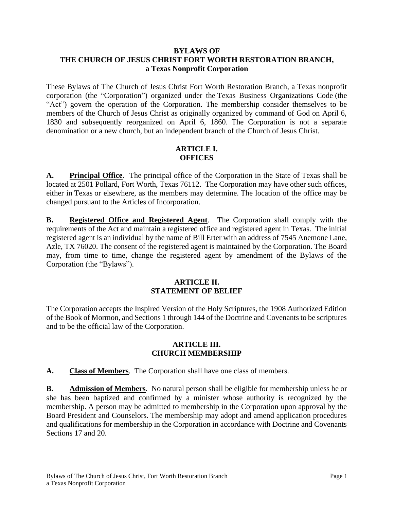#### **BYLAWS OF THE CHURCH OF JESUS CHRIST FORT WORTH RESTORATION BRANCH, a Texas Nonprofit Corporation**

These Bylaws of The Church of Jesus Christ Fort Worth Restoration Branch, a Texas nonprofit corporation (the "Corporation") organized under the Texas Business Organizations Code (the "Act") govern the operation of the Corporation. The membership consider themselves to be members of the Church of Jesus Christ as originally organized by command of God on April 6, 1830 and subsequently reorganized on April 6, 1860. The Corporation is not a separate denomination or a new church, but an independent branch of the Church of Jesus Christ.

#### **ARTICLE I. OFFICES**

**A. Principal Office**. The principal office of the Corporation in the State of Texas shall be located at 2501 Pollard, Fort Worth, Texas 76112. The Corporation may have other such offices, either in Texas or elsewhere, as the members may determine. The location of the office may be changed pursuant to the Articles of Incorporation.

**B. Registered Office and Registered Agent**. The Corporation shall comply with the requirements of the Act and maintain a registered office and registered agent in Texas. The initial registered agent is an individual by the name of Bill Erter with an address of 7545 Anemone Lane, Azle, TX 76020. The consent of the registered agent is maintained by the Corporation. The Board may, from time to time, change the registered agent by amendment of the Bylaws of the Corporation (the "Bylaws").

# **ARTICLE II. STATEMENT OF BELIEF**

The Corporation accepts the Inspired Version of the Holy Scriptures, the 1908 Authorized Edition of the Book of Mormon, and Sections 1 through 144 of the Doctrine and Covenants to be scriptures and to be the official law of the Corporation.

#### **ARTICLE III. CHURCH MEMBERSHIP**

**A. Class of Members**. The Corporation shall have one class of members.

**B. Admission of Members**. No natural person shall be eligible for membership unless he or she has been baptized and confirmed by a minister whose authority is recognized by the membership. A person may be admitted to membership in the Corporation upon approval by the Board President and Counselors. The membership may adopt and amend application procedures and qualifications for membership in the Corporation in accordance with Doctrine and Covenants Sections 17 and 20.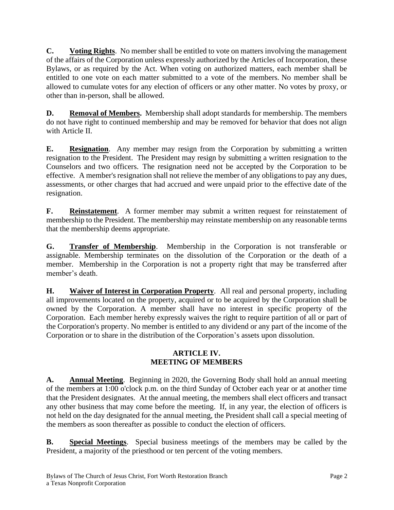**C. Voting Rights**. No member shall be entitled to vote on matters involving the management of the affairs of the Corporation unless expressly authorized by the Articles of Incorporation, these Bylaws, or as required by the Act. When voting on authorized matters, each member shall be entitled to one vote on each matter submitted to a vote of the members. No member shall be allowed to cumulate votes for any election of officers or any other matter. No votes by proxy, or other than in-person, shall be allowed.

**D. Removal of Members.** Membership shall adopt standards for membership. The members do not have right to continued membership and may be removed for behavior that does not align with Article II.

**E. Resignation**. Any member may resign from the Corporation by submitting a written resignation to the President. The President may resign by submitting a written resignation to the Counselors and two officers. The resignation need not be accepted by the Corporation to be effective. A member's resignation shall not relieve the member of any obligations to pay any dues, assessments, or other charges that had accrued and were unpaid prior to the effective date of the resignation.

**F. Reinstatement**. A former member may submit a written request for reinstatement of membership to the President. The membership may reinstate membership on any reasonable terms that the membership deems appropriate.

**G. Transfer of Membership**. Membership in the Corporation is not transferable or assignable. Membership terminates on the dissolution of the Corporation or the death of a member. Membership in the Corporation is not a property right that may be transferred after member's death.

**H. Waiver of Interest in Corporation Property**. All real and personal property, including all improvements located on the property, acquired or to be acquired by the Corporation shall be owned by the Corporation. A member shall have no interest in specific property of the Corporation. Each member hereby expressly waives the right to require partition of all or part of the Corporation's property. No member is entitled to any dividend or any part of the income of the Corporation or to share in the distribution of the Corporation's assets upon dissolution.

# **ARTICLE IV. MEETING OF MEMBERS**

**A. Annual Meeting**. Beginning in 2020, the Governing Body shall hold an annual meeting of the members at 1:00 o'clock p.m. on the third Sunday of October each year or at another time that the President designates. At the annual meeting, the members shall elect officers and transact any other business that may come before the meeting. If, in any year, the election of officers is not held on the day designated for the annual meeting, the President shall call a special meeting of the members as soon thereafter as possible to conduct the election of officers.

**B. Special Meetings**. Special business meetings of the members may be called by the President, a majority of the priesthood or ten percent of the voting members.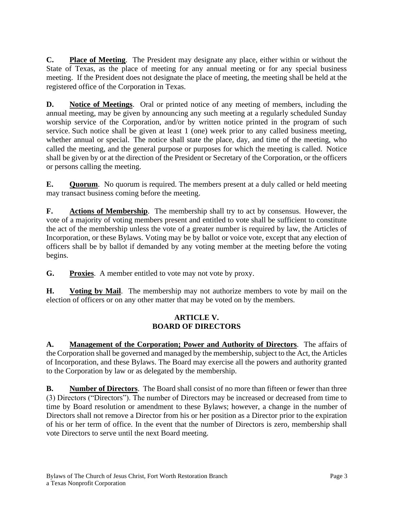**C. Place of Meeting**. The President may designate any place, either within or without the State of Texas, as the place of meeting for any annual meeting or for any special business meeting. If the President does not designate the place of meeting, the meeting shall be held at the registered office of the Corporation in Texas.

**D. Notice of Meetings**. Oral or printed notice of any meeting of members, including the annual meeting, may be given by announcing any such meeting at a regularly scheduled Sunday worship service of the Corporation, and/or by written notice printed in the program of such service. Such notice shall be given at least 1 (one) week prior to any called business meeting, whether annual or special. The notice shall state the place, day, and time of the meeting, who called the meeting, and the general purpose or purposes for which the meeting is called. Notice shall be given by or at the direction of the President or Secretary of the Corporation, or the officers or persons calling the meeting.

**E. Quorum**. No quorum is required. The members present at a duly called or held meeting may transact business coming before the meeting.

**F. Actions of Membership**. The membership shall try to act by consensus. However, the vote of a majority of voting members present and entitled to vote shall be sufficient to constitute the act of the membership unless the vote of a greater number is required by law, the Articles of Incorporation, or these Bylaws. Voting may be by ballot or voice vote, except that any election of officers shall be by ballot if demanded by any voting member at the meeting before the voting begins.

**G. Proxies**. A member entitled to vote may not vote by proxy.

**H. Voting by Mail**. The membership may not authorize members to vote by mail on the election of officers or on any other matter that may be voted on by the members.

# **ARTICLE V. BOARD OF DIRECTORS**

**A. Management of the Corporation; Power and Authority of Directors**. The affairs of the Corporation shall be governed and managed by the membership, subject to the Act, the Articles of Incorporation, and these Bylaws. The Board may exercise all the powers and authority granted to the Corporation by law or as delegated by the membership.

**B. Number of Directors**. The Board shall consist of no more than fifteen or fewer than three (3) Directors ("Directors"). The number of Directors may be increased or decreased from time to time by Board resolution or amendment to these Bylaws; however, a change in the number of Directors shall not remove a Director from his or her position as a Director prior to the expiration of his or her term of office. In the event that the number of Directors is zero, membership shall vote Directors to serve until the next Board meeting.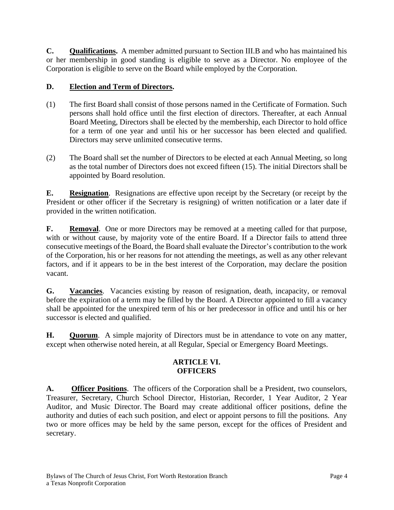**C. Qualifications.** A member admitted pursuant to Section III.B and who has maintained his or her membership in good standing is eligible to serve as a Director. No employee of the Corporation is eligible to serve on the Board while employed by the Corporation.

# **D. Election and Term of Directors.**

- (1) The first Board shall consist of those persons named in the Certificate of Formation. Such persons shall hold office until the first election of directors. Thereafter, at each Annual Board Meeting, Directors shall be elected by the membership, each Director to hold office for a term of one year and until his or her successor has been elected and qualified. Directors may serve unlimited consecutive terms.
- (2) The Board shall set the number of Directors to be elected at each Annual Meeting, so long as the total number of Directors does not exceed fifteen (15). The initial Directors shall be appointed by Board resolution.

**E. Resignation**. Resignations are effective upon receipt by the Secretary (or receipt by the President or other officer if the Secretary is resigning) of written notification or a later date if provided in the written notification.

**F. Removal**. One or more Directors may be removed at a meeting called for that purpose, with or without cause, by majority vote of the entire Board. If a Director fails to attend three consecutive meetings of the Board, the Board shall evaluate the Director's contribution to the work of the Corporation, his or her reasons for not attending the meetings, as well as any other relevant factors, and if it appears to be in the best interest of the Corporation, may declare the position vacant.

**G. Vacancies**. Vacancies existing by reason of resignation, death, incapacity, or removal before the expiration of a term may be filled by the Board. A Director appointed to fill a vacancy shall be appointed for the unexpired term of his or her predecessor in office and until his or her successor is elected and qualified.

**H. Quorum**. A simple majority of Directors must be in attendance to vote on any matter, except when otherwise noted herein, at all Regular, Special or Emergency Board Meetings.

# **ARTICLE VI. OFFICERS**

**A. Officer Positions**. The officers of the Corporation shall be a President, two counselors, Treasurer, Secretary, Church School Director, Historian, Recorder, 1 Year Auditor, 2 Year Auditor, and Music Director. The Board may create additional officer positions, define the authority and duties of each such position, and elect or appoint persons to fill the positions. Any two or more offices may be held by the same person, except for the offices of President and secretary.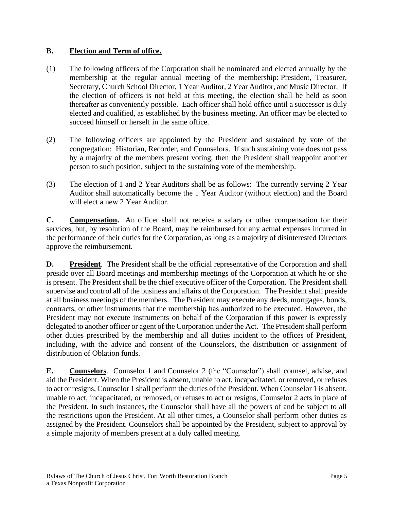#### **B. Election and Term of office.**

- (1) The following officers of the Corporation shall be nominated and elected annually by the membership at the regular annual meeting of the membership: President, Treasurer, Secretary, Church School Director, 1 Year Auditor, 2 Year Auditor, and Music Director. If the election of officers is not held at this meeting, the election shall be held as soon thereafter as conveniently possible. Each officer shall hold office until a successor is duly elected and qualified, as established by the business meeting. An officer may be elected to succeed himself or herself in the same office.
- (2) The following officers are appointed by the President and sustained by vote of the congregation: Historian, Recorder, and Counselors. If such sustaining vote does not pass by a majority of the members present voting, then the President shall reappoint another person to such position, subject to the sustaining vote of the membership.
- (3) The election of 1 and 2 Year Auditors shall be as follows: The currently serving 2 Year Auditor shall automatically become the 1 Year Auditor (without election) and the Board will elect a new 2 Year Auditor.

**C. Compensation.** An officer shall not receive a salary or other compensation for their services, but, by resolution of the Board, may be reimbursed for any actual expenses incurred in the performance of their duties for the Corporation, as long as a majority of disinterested Directors approve the reimbursement.

**D. President**. The President shall be the official representative of the Corporation and shall preside over all Board meetings and membership meetings of the Corporation at which he or she is present. The President shall be the chief executive officer of the Corporation. The President shall supervise and control all of the business and affairs of the Corporation. The President shall preside at all business meetings of the members. The President may execute any deeds, mortgages, bonds, contracts, or other instruments that the membership has authorized to be executed. However, the President may not execute instruments on behalf of the Corporation if this power is expressly delegated to another officer or agent of the Corporation under the Act. The President shall perform other duties prescribed by the membership and all duties incident to the offices of President, including, with the advice and consent of the Counselors, the distribution or assignment of distribution of Oblation funds.

**E. Counselors**. Counselor 1 and Counselor 2 (the "Counselor") shall counsel, advise, and aid the President. When the President is absent, unable to act, incapacitated, or removed, or refuses to act or resigns, Counselor 1 shall perform the duties of the President. When Counselor 1 is absent, unable to act, incapacitated, or removed, or refuses to act or resigns, Counselor 2 acts in place of the President. In such instances, the Counselor shall have all the powers of and be subject to all the restrictions upon the President. At all other times, a Counselor shall perform other duties as assigned by the President. Counselors shall be appointed by the President, subject to approval by a simple majority of members present at a duly called meeting.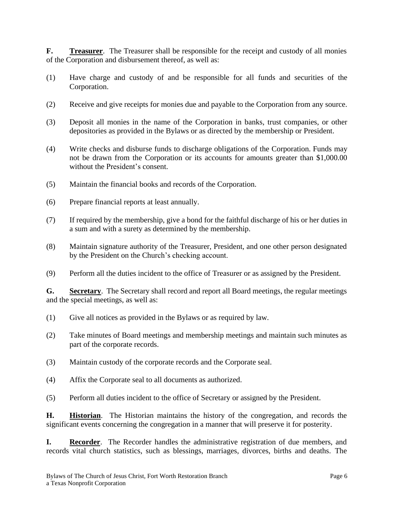**F. Treasurer**. The Treasurer shall be responsible for the receipt and custody of all monies of the Corporation and disbursement thereof, as well as:

- (1) Have charge and custody of and be responsible for all funds and securities of the Corporation.
- (2) Receive and give receipts for monies due and payable to the Corporation from any source.
- (3) Deposit all monies in the name of the Corporation in banks, trust companies, or other depositories as provided in the Bylaws or as directed by the membership or President.
- (4) Write checks and disburse funds to discharge obligations of the Corporation. Funds may not be drawn from the Corporation or its accounts for amounts greater than \$1,000.00 without the President's consent.
- (5) Maintain the financial books and records of the Corporation.
- (6) Prepare financial reports at least annually.
- (7) If required by the membership, give a bond for the faithful discharge of his or her duties in a sum and with a surety as determined by the membership.
- (8) Maintain signature authority of the Treasurer, President, and one other person designated by the President on the Church's checking account.
- (9) Perform all the duties incident to the office of Treasurer or as assigned by the President.

**G. Secretary**. The Secretary shall record and report all Board meetings, the regular meetings and the special meetings, as well as:

- (1) Give all notices as provided in the Bylaws or as required by law.
- (2) Take minutes of Board meetings and membership meetings and maintain such minutes as part of the corporate records.
- (3) Maintain custody of the corporate records and the Corporate seal.
- (4) Affix the Corporate seal to all documents as authorized.
- (5) Perform all duties incident to the office of Secretary or assigned by the President.

**H. Historian**. The Historian maintains the history of the congregation, and records the significant events concerning the congregation in a manner that will preserve it for posterity.

**I. Recorder**. The Recorder handles the administrative registration of due members, and records vital church statistics, such as blessings, marriages, divorces, births and deaths. The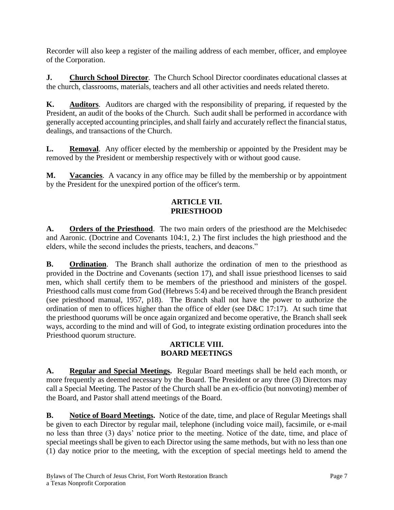Recorder will also keep a register of the mailing address of each member, officer, and employee of the Corporation.

**J. Church School Director***.* The Church School Director coordinates educational classes at the church, classrooms, materials, teachers and all other activities and needs related thereto.

**K. Auditors**. Auditors are charged with the responsibility of preparing, if requested by the President, an audit of the books of the Church. Such audit shall be performed in accordance with generally accepted accounting principles, and shall fairly and accurately reflect the financial status, dealings, and transactions of the Church.

**L. Removal**. Any officer elected by the membership or appointed by the President may be removed by the President or membership respectively with or without good cause.

**M. Vacancies**. A vacancy in any office may be filled by the membership or by appointment by the President for the unexpired portion of the officer's term.

# **ARTICLE VII. PRIESTHOOD**

**A. Orders of the Priesthood**. The two main orders of the priesthood are the Melchisedec and Aaronic. (Doctrine and Covenants 104:1, 2.) The first includes the high priesthood and the elders, while the second includes the priests, teachers, and deacons."

**B. Ordination**. The Branch shall authorize the ordination of men to the priesthood as provided in the Doctrine and Covenants (section 17), and shall issue priesthood licenses to said men, which shall certify them to be members of the priesthood and ministers of the gospel. Priesthood calls must come from God (Hebrews 5:4) and be received through the Branch president (see priesthood manual, 1957, p18). The Branch shall not have the power to authorize the ordination of men to offices higher than the office of elder (see D&C 17:17). At such time that the priesthood quorums will be once again organized and become operative, the Branch shall seek ways, according to the mind and will of God, to integrate existing ordination procedures into the Priesthood quorum structure.

# **ARTICLE VIII. BOARD MEETINGS**

**A. Regular and Special Meetings.** Regular Board meetings shall be held each month, or more frequently as deemed necessary by the Board. The President or any three (3) Directors may call a Special Meeting. The Pastor of the Church shall be an ex-officio (but nonvoting) member of the Board, and Pastor shall attend meetings of the Board.

**B. Notice of Board Meetings.** Notice of the date, time, and place of Regular Meetings shall be given to each Director by regular mail, telephone (including voice mail), facsimile, or e-mail no less than three (3) days' notice prior to the meeting. Notice of the date, time, and place of special meetings shall be given to each Director using the same methods, but with no less than one (1) day notice prior to the meeting, with the exception of special meetings held to amend the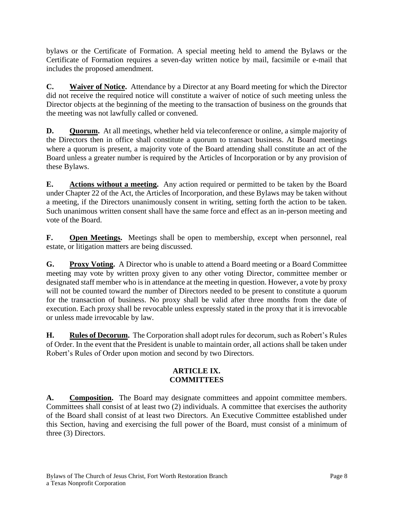bylaws or the Certificate of Formation. A special meeting held to amend the Bylaws or the Certificate of Formation requires a seven-day written notice by mail, facsimile or e-mail that includes the proposed amendment.

**C. Waiver of Notice.** Attendance by a Director at any Board meeting for which the Director did not receive the required notice will constitute a waiver of notice of such meeting unless the Director objects at the beginning of the meeting to the transaction of business on the grounds that the meeting was not lawfully called or convened.

**D. Quorum.** At all meetings, whether held via teleconference or online, a simple majority of the Directors then in office shall constitute a quorum to transact business. At Board meetings where a quorum is present, a majority vote of the Board attending shall constitute an act of the Board unless a greater number is required by the Articles of Incorporation or by any provision of these Bylaws.

**E. Actions without a meeting.** Any action required or permitted to be taken by the Board under Chapter 22 of the Act, the Articles of Incorporation, and these Bylaws may be taken without a meeting, if the Directors unanimously consent in writing, setting forth the action to be taken. Such unanimous written consent shall have the same force and effect as an in-person meeting and vote of the Board.

**F. Open Meetings.** Meetings shall be open to membership, except when personnel, real estate, or litigation matters are being discussed.

**G. Proxy Voting.** A Director who is unable to attend a Board meeting or a Board Committee meeting may vote by written proxy given to any other voting Director, committee member or designated staff member who is in attendance at the meeting in question. However, a vote by proxy will not be counted toward the number of Directors needed to be present to constitute a quorum for the transaction of business. No proxy shall be valid after three months from the date of execution. Each proxy shall be revocable unless expressly stated in the proxy that it is irrevocable or unless made irrevocable by law.

**H. Rules of Decorum.** The Corporation shall adopt rules for decorum, such as Robert's Rules of Order. In the event that the President is unable to maintain order, all actions shall be taken under Robert's Rules of Order upon motion and second by two Directors.

# **ARTICLE IX. COMMITTEES**

A. **Composition.** The Board may designate committees and appoint committee members. Committees shall consist of at least two (2) individuals. A committee that exercises the authority of the Board shall consist of at least two Directors. An Executive Committee established under this Section, having and exercising the full power of the Board, must consist of a minimum of three (3) Directors.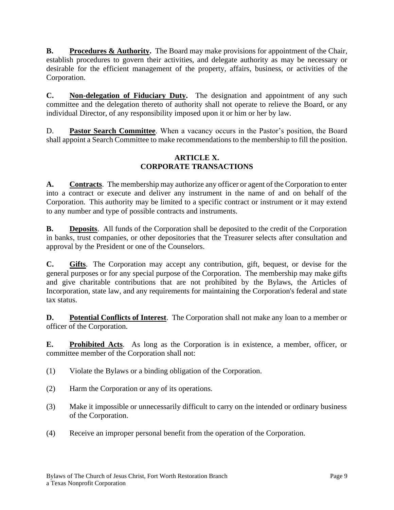**B. Procedures & Authority.** The Board may make provisions for appointment of the Chair, establish procedures to govern their activities, and delegate authority as may be necessary or desirable for the efficient management of the property, affairs, business, or activities of the Corporation.

**C. Non-delegation of Fiduciary Duty.** The designation and appointment of any such committee and the delegation thereto of authority shall not operate to relieve the Board, or any individual Director, of any responsibility imposed upon it or him or her by law.

D. **Pastor Search Committee**. When a vacancy occurs in the Pastor's position, the Board shall appoint a Search Committee to make recommendations to the membership to fill the position.

# **ARTICLE X. CORPORATE TRANSACTIONS**

**A. Contracts**. The membership may authorize any officer or agent of the Corporation to enter into a contract or execute and deliver any instrument in the name of and on behalf of the Corporation. This authority may be limited to a specific contract or instrument or it may extend to any number and type of possible contracts and instruments.

**B. Deposits**. All funds of the Corporation shall be deposited to the credit of the Corporation in banks, trust companies, or other depositories that the Treasurer selects after consultation and approval by the President or one of the Counselors.

**C. Gifts**. The Corporation may accept any contribution, gift, bequest, or devise for the general purposes or for any special purpose of the Corporation. The membership may make gifts and give charitable contributions that are not prohibited by the Bylaws, the Articles of Incorporation, state law, and any requirements for maintaining the Corporation's federal and state tax status.

**D. Potential Conflicts of Interest**. The Corporation shall not make any loan to a member or officer of the Corporation.

**E. Prohibited Acts**. As long as the Corporation is in existence, a member, officer, or committee member of the Corporation shall not:

- (1) Violate the Bylaws or a binding obligation of the Corporation.
- (2) Harm the Corporation or any of its operations.
- (3) Make it impossible or unnecessarily difficult to carry on the intended or ordinary business of the Corporation.
- (4) Receive an improper personal benefit from the operation of the Corporation.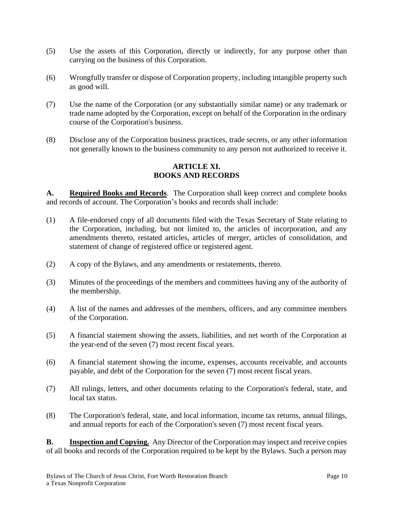- (5) Use the assets of this Corporation, directly or indirectly, for any purpose other than carrying on the business of this Corporation.
- (6) Wrongfully transfer or dispose of Corporation property, including intangible property such as good will.
- (7) Use the name of the Corporation (or any substantially similar name) or any trademark or trade name adopted by the Corporation, except on behalf of the Corporation in the ordinary course of the Corporation's business.
- (8) Disclose any of the Corporation business practices, trade secrets, or any other information not generally known to the business community to any person not authorized to receive it.

# **ARTICLE XI. BOOKS AND RECORDS**

**A. Required Books and Records**. The Corporation shall keep correct and complete books and records of account. The Corporation's books and records shall include:

- (1) A file-endorsed copy of all documents filed with the Texas Secretary of State relating to the Corporation, including, but not limited to, the articles of incorporation, and any amendments thereto, restated articles, articles of merger, articles of consolidation, and statement of change of registered office or registered agent.
- (2) A copy of the Bylaws, and any amendments or restatements, thereto.
- (3) Minutes of the proceedings of the members and committees having any of the authority of the membership.
- (4) A list of the names and addresses of the members, officers, and any committee members of the Corporation.
- (5) A financial statement showing the assets, liabilities, and net worth of the Corporation at the year-end of the seven (7) most recent fiscal years.
- (6) A financial statement showing the income, expenses, accounts receivable, and accounts payable, and debt of the Corporation for the seven (7) most recent fiscal years.
- (7) All rulings, letters, and other documents relating to the Corporation's federal, state, and local tax status.
- (8) The Corporation's federal, state, and local information, income tax returns, annual filings, and annual reports for each of the Corporation's seven (7) most recent fiscal years.

**B. Inspection and Copying.** Any Director of the Corporation may inspect and receive copies of all books and records of the Corporation required to be kept by the Bylaws. Such a person may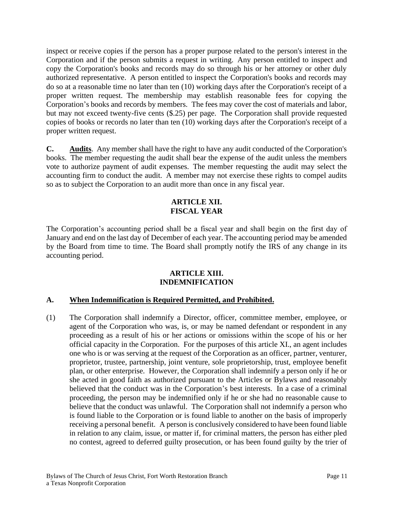inspect or receive copies if the person has a proper purpose related to the person's interest in the Corporation and if the person submits a request in writing. Any person entitled to inspect and copy the Corporation's books and records may do so through his or her attorney or other duly authorized representative. A person entitled to inspect the Corporation's books and records may do so at a reasonable time no later than ten (10) working days after the Corporation's receipt of a proper written request. The membership may establish reasonable fees for copying the Corporation's books and records by members. The fees may cover the cost of materials and labor, but may not exceed twenty-five cents (\$.25) per page. The Corporation shall provide requested copies of books or records no later than ten (10) working days after the Corporation's receipt of a proper written request.

**C. Audits**. Any member shall have the right to have any audit conducted of the Corporation's books. The member requesting the audit shall bear the expense of the audit unless the members vote to authorize payment of audit expenses. The member requesting the audit may select the accounting firm to conduct the audit. A member may not exercise these rights to compel audits so as to subject the Corporation to an audit more than once in any fiscal year.

#### **ARTICLE XII. FISCAL YEAR**

The Corporation's accounting period shall be a fiscal year and shall begin on the first day of January and end on the last day of December of each year. The accounting period may be amended by the Board from time to time. The Board shall promptly notify the IRS of any change in its accounting period.

#### **ARTICLE XIII. INDEMNIFICATION**

# **A. When Indemnification is Required Permitted, and Prohibited.**

(1) The Corporation shall indemnify a Director, officer, committee member, employee, or agent of the Corporation who was, is, or may be named defendant or respondent in any proceeding as a result of his or her actions or omissions within the scope of his or her official capacity in the Corporation. For the purposes of this article XI., an agent includes one who is or was serving at the request of the Corporation as an officer, partner, venturer, proprietor, trustee, partnership, joint venture, sole proprietorship, trust, employee benefit plan, or other enterprise. However, the Corporation shall indemnify a person only if he or she acted in good faith as authorized pursuant to the Articles or Bylaws and reasonably believed that the conduct was in the Corporation's best interests. In a case of a criminal proceeding, the person may be indemnified only if he or she had no reasonable cause to believe that the conduct was unlawful. The Corporation shall not indemnify a person who is found liable to the Corporation or is found liable to another on the basis of improperly receiving a personal benefit. A person is conclusively considered to have been found liable in relation to any claim, issue, or matter if, for criminal matters, the person has either pled no contest, agreed to deferred guilty prosecution, or has been found guilty by the trier of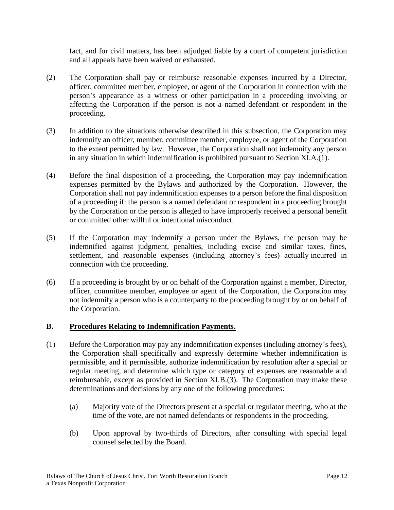fact, and for civil matters, has been adjudged liable by a court of competent jurisdiction and all appeals have been waived or exhausted.

- (2) The Corporation shall pay or reimburse reasonable expenses incurred by a Director, officer, committee member, employee, or agent of the Corporation in connection with the person's appearance as a witness or other participation in a proceeding involving or affecting the Corporation if the person is not a named defendant or respondent in the proceeding.
- (3) In addition to the situations otherwise described in this subsection, the Corporation may indemnify an officer, member, committee member, employee, or agent of the Corporation to the extent permitted by law. However, the Corporation shall not indemnify any person in any situation in which indemnification is prohibited pursuant to Section XI.A.(1).
- (4) Before the final disposition of a proceeding, the Corporation may pay indemnification expenses permitted by the Bylaws and authorized by the Corporation. However, the Corporation shall not pay indemnification expenses to a person before the final disposition of a proceeding if: the person is a named defendant or respondent in a proceeding brought by the Corporation or the person is alleged to have improperly received a personal benefit or committed other willful or intentional misconduct.
- (5) If the Corporation may indemnify a person under the Bylaws, the person may be indemnified against judgment, penalties, including excise and similar taxes, fines, settlement, and reasonable expenses (including attorney's fees) actually incurred in connection with the proceeding.
- (6) If a proceeding is brought by or on behalf of the Corporation against a member, Director, officer, committee member, employee or agent of the Corporation, the Corporation may not indemnify a person who is a counterparty to the proceeding brought by or on behalf of the Corporation.

# **B. Procedures Relating to Indemnification Payments.**

- (1) Before the Corporation may pay any indemnification expenses (including attorney's fees), the Corporation shall specifically and expressly determine whether indemnification is permissible, and if permissible, authorize indemnification by resolution after a special or regular meeting, and determine which type or category of expenses are reasonable and reimbursable, except as provided in Section XI.B.(3). The Corporation may make these determinations and decisions by any one of the following procedures:
	- (a) Majority vote of the Directors present at a special or regulator meeting, who at the time of the vote, are not named defendants or respondents in the proceeding.
	- (b) Upon approval by two-thirds of Directors, after consulting with special legal counsel selected by the Board.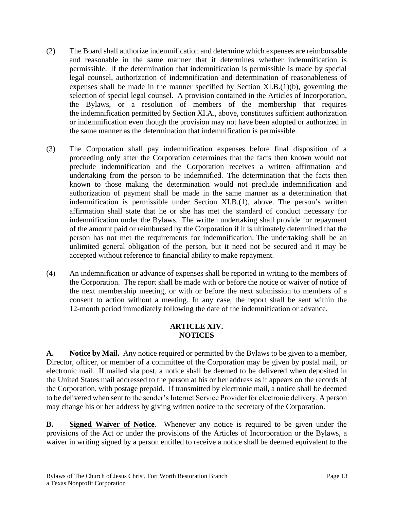- (2) The Board shall authorize indemnification and determine which expenses are reimbursable and reasonable in the same manner that it determines whether indemnification is permissible. If the determination that indemnification is permissible is made by special legal counsel, authorization of indemnification and determination of reasonableness of expenses shall be made in the manner specified by Section XI.B.(1)(b), governing the selection of special legal counsel. A provision contained in the Articles of Incorporation, the Bylaws, or a resolution of members of the membership that requires the indemnification permitted by Section XI.A., above, constitutes sufficient authorization or indemnification even though the provision may not have been adopted or authorized in the same manner as the determination that indemnification is permissible.
- (3) The Corporation shall pay indemnification expenses before final disposition of a proceeding only after the Corporation determines that the facts then known would not preclude indemnification and the Corporation receives a written affirmation and undertaking from the person to be indemnified. The determination that the facts then known to those making the determination would not preclude indemnification and authorization of payment shall be made in the same manner as a determination that indemnification is permissible under Section XI.B.(1), above. The person's written affirmation shall state that he or she has met the standard of conduct necessary for indemnification under the Bylaws. The written undertaking shall provide for repayment of the amount paid or reimbursed by the Corporation if it is ultimately determined that the person has not met the requirements for indemnification. The undertaking shall be an unlimited general obligation of the person, but it need not be secured and it may be accepted without reference to financial ability to make repayment.
- (4) An indemnification or advance of expenses shall be reported in writing to the members of the Corporation. The report shall be made with or before the notice or waiver of notice of the next membership meeting, or with or before the next submission to members of a consent to action without a meeting. In any case, the report shall be sent within the 12-month period immediately following the date of the indemnification or advance.

# **ARTICLE XIV. NOTICES**

**A. Notice by Mail.** Any notice required or permitted by the Bylaws to be given to a member, Director, officer, or member of a committee of the Corporation may be given by postal mail, or electronic mail. If mailed via post, a notice shall be deemed to be delivered when deposited in the United States mail addressed to the person at his or her address as it appears on the records of the Corporation, with postage prepaid. If transmitted by electronic mail, a notice shall be deemed to be delivered when sent to the sender's Internet Service Provider for electronic delivery. A person may change his or her address by giving written notice to the secretary of the Corporation.

**B. Signed Waiver of Notice**. Whenever any notice is required to be given under the provisions of the Act or under the provisions of the Articles of Incorporation or the Bylaws, a waiver in writing signed by a person entitled to receive a notice shall be deemed equivalent to the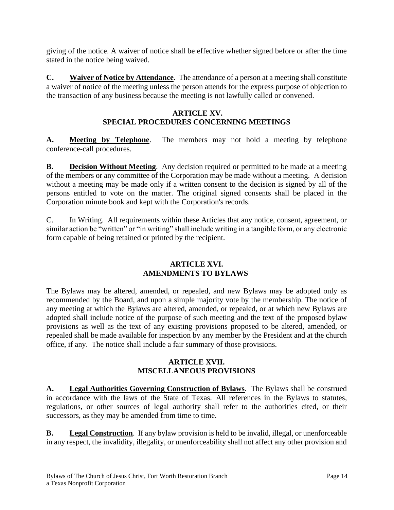giving of the notice. A waiver of notice shall be effective whether signed before or after the time stated in the notice being waived.

**C. Waiver of Notice by Attendance**. The attendance of a person at a meeting shall constitute a waiver of notice of the meeting unless the person attends for the express purpose of objection to the transaction of any business because the meeting is not lawfully called or convened.

# **ARTICLE XV. SPECIAL PROCEDURES CONCERNING MEETINGS**

**A. Meeting by Telephone**. The members may not hold a meeting by telephone conference-call procedures.

**B. Decision Without Meeting**. Any decision required or permitted to be made at a meeting of the members or any committee of the Corporation may be made without a meeting. A decision without a meeting may be made only if a written consent to the decision is signed by all of the persons entitled to vote on the matter. The original signed consents shall be placed in the Corporation minute book and kept with the Corporation's records.

C. In Writing. All requirements within these Articles that any notice, consent, agreement, or similar action be "written" or "in writing" shall include writing in a tangible form, or any electronic form capable of being retained or printed by the recipient.

#### **ARTICLE XVI. AMENDMENTS TO BYLAWS**

The Bylaws may be altered, amended, or repealed, and new Bylaws may be adopted only as recommended by the Board, and upon a simple majority vote by the membership. The notice of any meeting at which the Bylaws are altered, amended, or repealed, or at which new Bylaws are adopted shall include notice of the purpose of such meeting and the text of the proposed bylaw provisions as well as the text of any existing provisions proposed to be altered, amended, or repealed shall be made available for inspection by any member by the President and at the church office, if any. The notice shall include a fair summary of those provisions.

# **ARTICLE XVII. MISCELLANEOUS PROVISIONS**

**A. Legal Authorities Governing Construction of Bylaws**. The Bylaws shall be construed in accordance with the laws of the State of Texas. All references in the Bylaws to statutes, regulations, or other sources of legal authority shall refer to the authorities cited, or their successors, as they may be amended from time to time.

**B. Legal Construction**. If any bylaw provision is held to be invalid, illegal, or unenforceable in any respect, the invalidity, illegality, or unenforceability shall not affect any other provision and